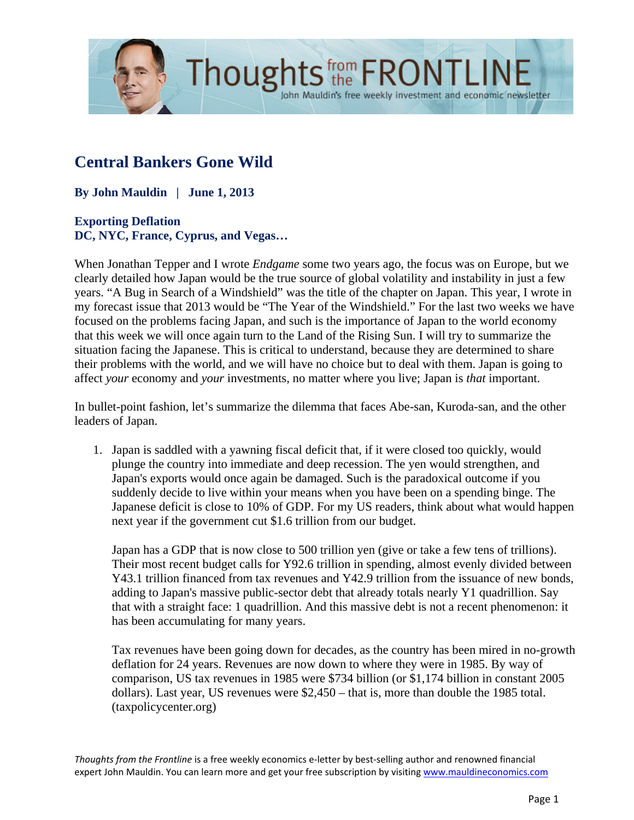

# **Central Bankers Gone Wild**

**By John Mauldin | June 1, 2013**

### **Exporting Deflation DC, NYC, France, Cyprus, and Vegas…**

When Jonathan Tepper and I wrote *Endgame* some two years ago, the focus was on Europe, but we clearly detailed how Japan would be the true source of global volatility and instability in just a few years. "A Bug in Search of a Windshield" was the title of the chapter on Japan. This year, I wrote in my forecast issue that 2013 would be "The Year of the Windshield." For the last two weeks we have focused on the problems facing Japan, and such is the importance of Japan to the world economy that this week we will once again turn to the Land of the Rising Sun. I will try to summarize the situation facing the Japanese. This is critical to understand, because they are determined to share their problems with the world, and we will have no choice but to deal with them. Japan is going to affect *your* economy and *your* investments, no matter where you live; Japan is *that* important.

John Mauldin's free weekly investment and economic newsletter

In bullet-point fashion, let's summarize the dilemma that faces Abe-san, Kuroda-san, and the other leaders of Japan.

1. Japan is saddled with a yawning fiscal deficit that, if it were closed too quickly, would plunge the country into immediate and deep recession. The yen would strengthen, and Japan's exports would once again be damaged. Such is the paradoxical outcome if you suddenly decide to live within your means when you have been on a spending binge. The Japanese deficit is close to 10% of GDP. For my US readers, think about what would happen next year if the government cut \$1.6 trillion from our budget.

Japan has a GDP that is now close to 500 trillion yen (give or take a few tens of trillions). Their most recent budget calls for Y92.6 trillion in spending, almost evenly divided between Y43.1 trillion financed from tax revenues and Y42.9 trillion from the issuance of new bonds, adding to Japan's massive public-sector debt that already totals nearly Y1 quadrillion. Say that with a straight face: 1 quadrillion. And this massive debt is not a recent phenomenon: it has been accumulating for many years.

Tax revenues have been going down for decades, as the country has been mired in no-growth deflation for 24 years. Revenues are now down to where they were in 1985. By way of comparison, US tax revenues in 1985 were \$734 billion (or \$1,174 billion in constant 2005 dollars). Last year, US revenues were \$2,450 – that is, more than double the 1985 total. (taxpolicycenter.org)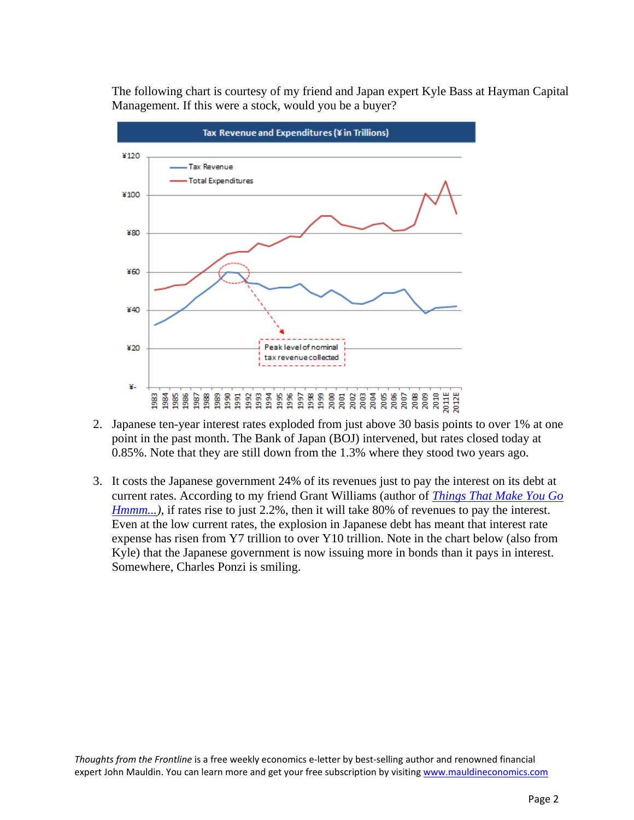The following chart is courtesy of my friend and Japan expert Kyle Bass at Hayman Capital Management. If this were a stock, would you be a buyer?



- 2. Japanese ten-year interest rates exploded from just above 30 basis points to over 1% at one point in the past month. The Bank of Japan (BOJ) intervened, but rates closed today at 0.85%. Note that they are still down from the 1.3% where they stood two years ago.
- 3. It costs the Japanese government 24% of its revenues just to pay the interest on its debt at current rates. According to my friend Grant Williams (author of *[Things That Make You Go](http://www.mauldineconomics.com/ttmygh/what-on-htrae-is-going-on)  Hmmm...*), if rates rise to just 2.2%, then it will take 80% of revenues to pay the interest. Even at the low current rates, the explosion in Japanese debt has meant that interest rate expense has risen from Y7 trillion to over Y10 trillion. Note in the chart below (also from Kyle) that the Japanese government is now issuing more in bonds than it pays in interest. Somewhere, Charles Ponzi is smiling.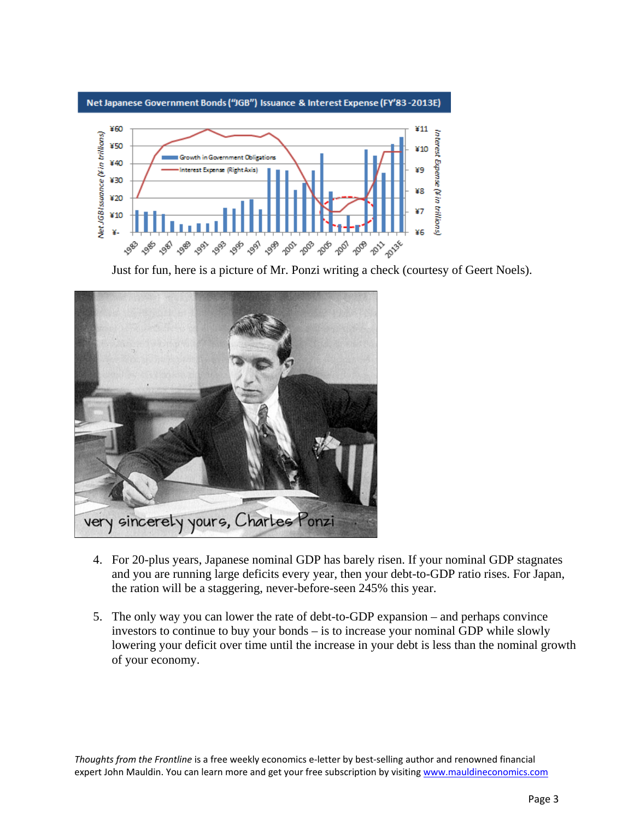

Just for fun, here is a picture of Mr. Ponzi writing a check (courtesy of Geert Noels).



- 4. For 20-plus years, Japanese nominal GDP has barely risen. If your nominal GDP stagnates and you are running large deficits every year, then your debt-to-GDP ratio rises. For Japan, the ration will be a staggering, never-before-seen 245% this year.
- 5. The only way you can lower the rate of debt-to-GDP expansion and perhaps convince investors to continue to buy your bonds – is to increase your nominal GDP while slowly lowering your deficit over time until the increase in your debt is less than the nominal growth of your economy.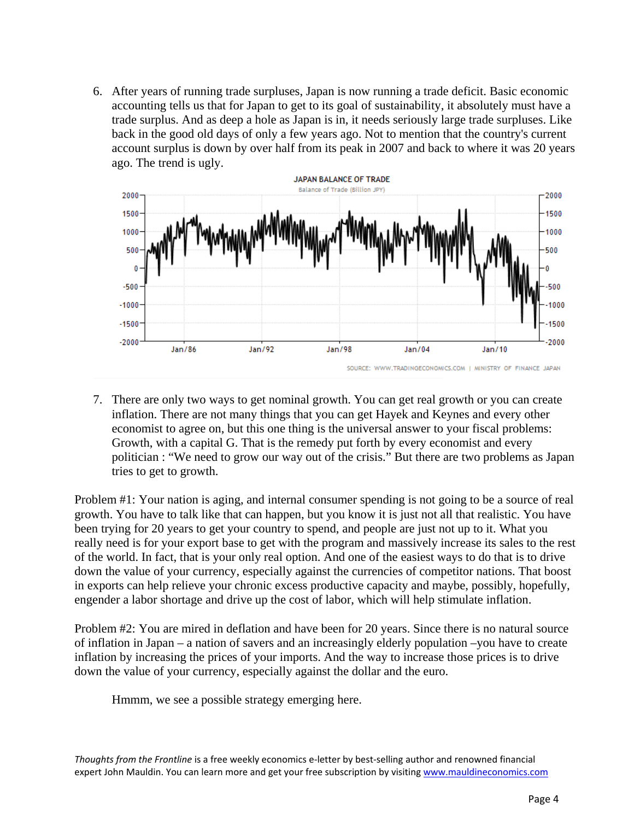6. After years of running trade surpluses, Japan is now running a trade deficit. Basic economic accounting tells us that for Japan to get to its goal of sustainability, it absolutely must have a trade surplus. And as deep a hole as Japan is in, it needs seriously large trade surpluses. Like back in the good old days of only a few years ago. Not to mention that the country's current account surplus is down by over half from its peak in 2007 and back to where it was 20 years ago. The trend is ugly.



7. There are only two ways to get nominal growth. You can get real growth or you can create inflation. There are not many things that you can get Hayek and Keynes and every other economist to agree on, but this one thing is the universal answer to your fiscal problems: Growth, with a capital G. That is the remedy put forth by every economist and every politician : "We need to grow our way out of the crisis." But there are two problems as Japan tries to get to growth.

Problem #1: Your nation is aging, and internal consumer spending is not going to be a source of real growth. You have to talk like that can happen, but you know it is just not all that realistic. You have been trying for 20 years to get your country to spend, and people are just not up to it. What you really need is for your export base to get with the program and massively increase its sales to the rest of the world. In fact, that is your only real option. And one of the easiest ways to do that is to drive down the value of your currency, especially against the currencies of competitor nations. That boost in exports can help relieve your chronic excess productive capacity and maybe, possibly, hopefully, engender a labor shortage and drive up the cost of labor, which will help stimulate inflation.

Problem #2: You are mired in deflation and have been for 20 years. Since there is no natural source of inflation in Japan – a nation of savers and an increasingly elderly population –you have to create inflation by increasing the prices of your imports. And the way to increase those prices is to drive down the value of your currency, especially against the dollar and the euro.

Hmmm, we see a possible strategy emerging here.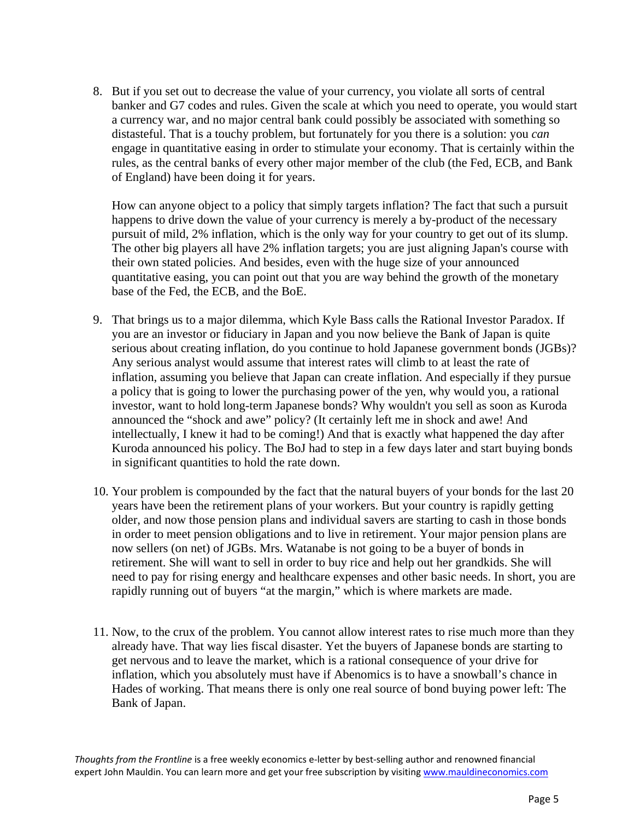8. But if you set out to decrease the value of your currency, you violate all sorts of central banker and G7 codes and rules. Given the scale at which you need to operate, you would start a currency war, and no major central bank could possibly be associated with something so distasteful. That is a touchy problem, but fortunately for you there is a solution: you *can* engage in quantitative easing in order to stimulate your economy. That is certainly within the rules, as the central banks of every other major member of the club (the Fed, ECB, and Bank of England) have been doing it for years.

How can anyone object to a policy that simply targets inflation? The fact that such a pursuit happens to drive down the value of your currency is merely a by-product of the necessary pursuit of mild, 2% inflation, which is the only way for your country to get out of its slump. The other big players all have 2% inflation targets; you are just aligning Japan's course with their own stated policies. And besides, even with the huge size of your announced quantitative easing, you can point out that you are way behind the growth of the monetary base of the Fed, the ECB, and the BoE.

- 9. That brings us to a major dilemma, which Kyle Bass calls the Rational Investor Paradox. If you are an investor or fiduciary in Japan and you now believe the Bank of Japan is quite serious about creating inflation, do you continue to hold Japanese government bonds (JGBs)? Any serious analyst would assume that interest rates will climb to at least the rate of inflation, assuming you believe that Japan can create inflation. And especially if they pursue a policy that is going to lower the purchasing power of the yen, why would you, a rational investor, want to hold long-term Japanese bonds? Why wouldn't you sell as soon as Kuroda announced the "shock and awe" policy? (It certainly left me in shock and awe! And intellectually, I knew it had to be coming!) And that is exactly what happened the day after Kuroda announced his policy. The BoJ had to step in a few days later and start buying bonds in significant quantities to hold the rate down.
- 10. Your problem is compounded by the fact that the natural buyers of your bonds for the last 20 years have been the retirement plans of your workers. But your country is rapidly getting older, and now those pension plans and individual savers are starting to cash in those bonds in order to meet pension obligations and to live in retirement. Your major pension plans are now sellers (on net) of JGBs. Mrs. Watanabe is not going to be a buyer of bonds in retirement. She will want to sell in order to buy rice and help out her grandkids. She will need to pay for rising energy and healthcare expenses and other basic needs. In short, you are rapidly running out of buyers "at the margin," which is where markets are made.
- 11. Now, to the crux of the problem. You cannot allow interest rates to rise much more than they already have. That way lies fiscal disaster. Yet the buyers of Japanese bonds are starting to get nervous and to leave the market, which is a rational consequence of your drive for inflation, which you absolutely must have if Abenomics is to have a snowball's chance in Hades of working. That means there is only one real source of bond buying power left: The Bank of Japan.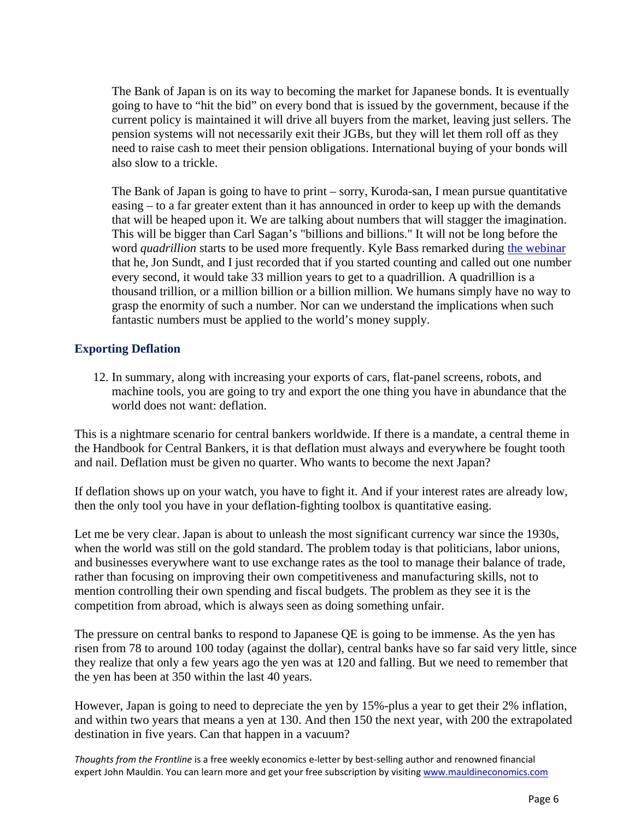The Bank of Japan is on its way to becoming the market for Japanese bonds. It is eventually going to have to "hit the bid" on every bond that is issued by the government, because if the current policy is maintained it will drive all buyers from the market, leaving just sellers. The pension systems will not necessarily exit their JGBs, but they will let them roll off as they need to raise cash to meet their pension obligations. International buying of your bonds will also slow to a trickle.

The Bank of Japan is going to have to print – sorry, Kuroda-san, I mean pursue quantitative easing – to a far greater extent than it has announced in order to keep up with the demands that will be heaped upon it. We are talking about numbers that will stagger the imagination. This will be bigger than Carl Sagan's "billions and billions." It will not be long before the word *quadrillion* starts to be used more frequently. Kyle Bass remarked during [the webinar](http://www.altegris.com/mauldinreg) that he, Jon Sundt, and I just recorded that if you started counting and called out one number every second, it would take 33 million years to get to a quadrillion. A quadrillion is a thousand trillion, or a million billion or a billion million. We humans simply have no way to grasp the enormity of such a number. Nor can we understand the implications when such fantastic numbers must be applied to the world's money supply.

#### **Exporting Deflation**

12. In summary, along with increasing your exports of cars, flat-panel screens, robots, and machine tools, you are going to try and export the one thing you have in abundance that the world does not want: deflation.

This is a nightmare scenario for central bankers worldwide. If there is a mandate, a central theme in the Handbook for Central Bankers, it is that deflation must always and everywhere be fought tooth and nail. Deflation must be given no quarter. Who wants to become the next Japan?

If deflation shows up on your watch, you have to fight it. And if your interest rates are already low, then the only tool you have in your deflation-fighting toolbox is quantitative easing.

Let me be very clear. Japan is about to unleash the most significant currency war since the 1930s, when the world was still on the gold standard. The problem today is that politicians, labor unions, and businesses everywhere want to use exchange rates as the tool to manage their balance of trade, rather than focusing on improving their own competitiveness and manufacturing skills, not to mention controlling their own spending and fiscal budgets. The problem as they see it is the competition from abroad, which is always seen as doing something unfair.

The pressure on central banks to respond to Japanese QE is going to be immense. As the yen has risen from 78 to around 100 today (against the dollar), central banks have so far said very little, since they realize that only a few years ago the yen was at 120 and falling. But we need to remember that the yen has been at 350 within the last 40 years.

However, Japan is going to need to depreciate the yen by 15%-plus a year to get their 2% inflation, and within two years that means a yen at 130. And then 150 the next year, with 200 the extrapolated destination in five years. Can that happen in a vacuum?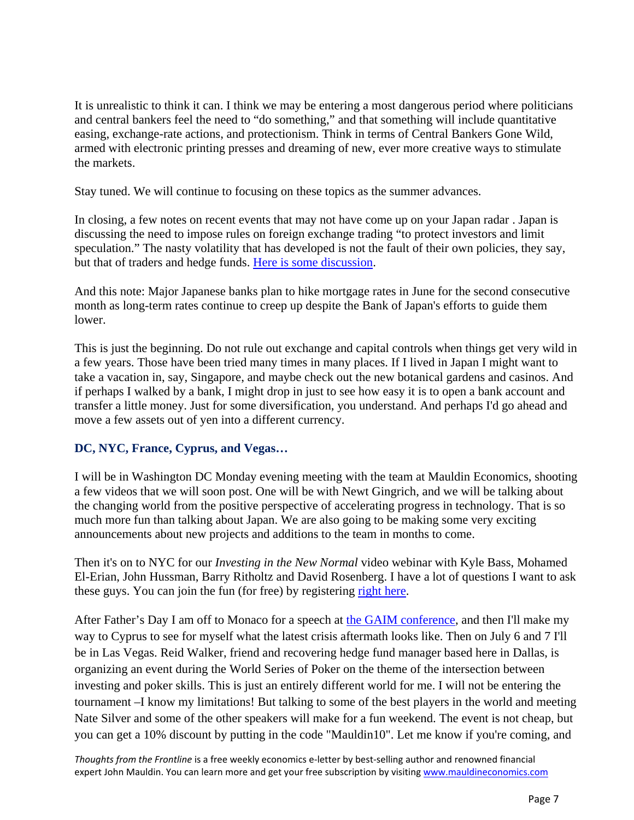It is unrealistic to think it can. I think we may be entering a most dangerous period where politicians and central bankers feel the need to "do something," and that something will include quantitative easing, exchange-rate actions, and protectionism. Think in terms of Central Bankers Gone Wild, armed with electronic printing presses and dreaming of new, ever more creative ways to stimulate the markets.

Stay tuned. We will continue to focusing on these topics as the summer advances.

In closing, a few notes on recent events that may not have come up on your Japan radar . Japan is discussing the need to impose rules on foreign exchange trading "to protect investors and limit speculation." The nasty volatility that has developed is not the fault of their own policies, they say, but that of traders and hedge funds. [Here is some discussion.](http://www.forexlive.com/blog/2013/05/30/japan-to-impose-new-rules-on-forex-margin-trading-nikkei/)

And this note: Major Japanese banks plan to hike mortgage rates in June for the second consecutive month as long-term rates continue to creep up despite the Bank of Japan's efforts to guide them lower.

This is just the beginning. Do not rule out exchange and capital controls when things get very wild in a few years. Those have been tried many times in many places. If I lived in Japan I might want to take a vacation in, say, Singapore, and maybe check out the new botanical gardens and casinos. And if perhaps I walked by a bank, I might drop in just to see how easy it is to open a bank account and transfer a little money. Just for some diversification, you understand. And perhaps I'd go ahead and move a few assets out of yen into a different currency.

## **DC, NYC, France, Cyprus, and Vegas…**

I will be in Washington DC Monday evening meeting with the team at Mauldin Economics, shooting a few videos that we will soon post. One will be with Newt Gingrich, and we will be talking about the changing world from the positive perspective of accelerating progress in technology. That is so much more fun than talking about Japan. We are also going to be making some very exciting announcements about new projects and additions to the team in months to come.

Then it's on to NYC for our *Investing in the New Normal* video webinar with Kyle Bass, Mohamed El-Erian, John Hussman, Barry Ritholtz and David Rosenberg. I have a lot of questions I want to ask these guys. You can join the fun (for free) by registering [right here.](http://inn.mauldineconomics.com/go/bwp42/MEC)

After Father's Day I am off to Monaco for a speech at [the GAIM conference,](http://www.icbi-events.com/fkn2355maul) and then I'll make my way to Cyprus to see for myself what the latest crisis aftermath looks like. Then on July 6 and 7 I'll be in Las Vegas. Reid Walker, friend and recovering hedge fund manager based here in Dallas, is organizing an event during the World Series of Poker on the theme of the intersection between investing and poker skills. This is just an entirely different world for me. I will not be entering the tournament –I know my limitations! But talking to some of the best players in the world and meeting Nate Silver and some of the other speakers will make for a fun weekend. The event is not cheap, but you can get a 10% discount by putting in the code "Mauldin10". Let me know if you're coming, and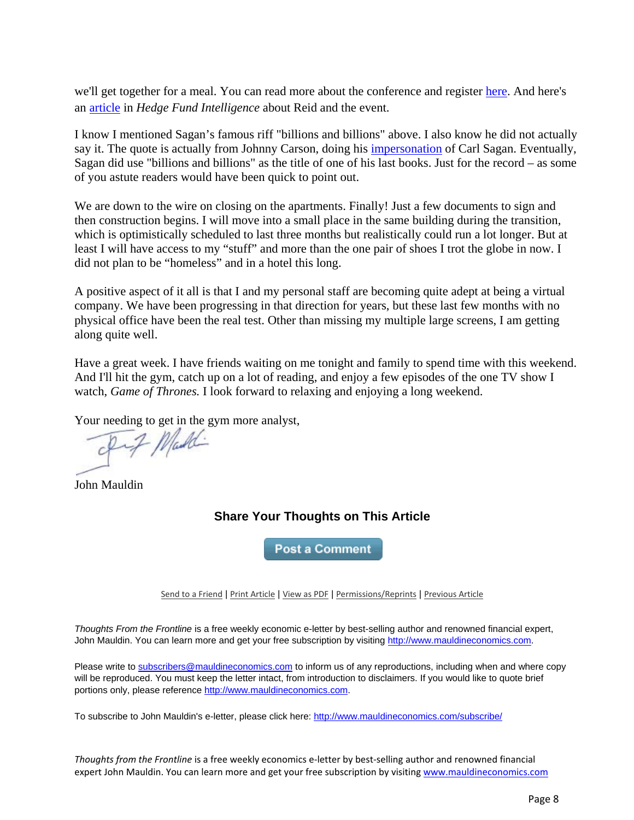we'll get together for a meal. You can read more about the conference and register [here.](http://www.macrosports.co/) And here's an [article](http://www.hedgefundintelligence.com/Article/3212072/Hedge-fund-and-poker-pros-to-go-heads-up-in-Vegas.html) in *Hedge Fund Intelligence* about Reid and the event.

I know I mentioned Sagan's famous riff "billions and billions" above. I also know he did not actually say it. The quote is actually from Johnny Carson, doing his [impersonation](http://www.youtube.com/watch?v=1jVQg87MA9s) of Carl Sagan. Eventually, Sagan did use "billions and billions" as the title of one of his last books. Just for the record – as some of you astute readers would have been quick to point out.

We are down to the wire on closing on the apartments. Finally! Just a few documents to sign and then construction begins. I will move into a small place in the same building during the transition, which is optimistically scheduled to last three months but realistically could run a lot longer. But at least I will have access to my "stuff" and more than the one pair of shoes I trot the globe in now. I did not plan to be "homeless" and in a hotel this long.

A positive aspect of it all is that I and my personal staff are becoming quite adept at being a virtual company. We have been progressing in that direction for years, but these last few months with no physical office have been the real test. Other than missing my multiple large screens, I am getting along quite well.

Have a great week. I have friends waiting on me tonight and family to spend time with this weekend. And I'll hit the gym, catch up on a lot of reading, and enjoy a few episodes of the one TV show I watch, *Game of Thrones.* I look forward to relaxing and enjoying a long weekend.

Your needing to get in the gym more analyst,

Inf Maddi

John Mauldin

## **Share Your Thoughts on This Article**

**Post a Comment** 

[Send to a Friend](http://ce.frontlinethoughts.com/CT00017301MTUzNTQ2.html) | [Print Article](http://ce.frontlinethoughts.com/CT00017301MTUzNTQ2.html) | [View as PDF](http://ce.frontlinethoughts.com/CT00017302MTUzNTQ2.html) | [Permissions/Reprints](http://www.frontlinethoughts.com/contact) | [Previous Article](http://ce.frontlinethoughts.com/CT00017305MTUzNTQ2.html)

*Thoughts From the Frontline* is a free weekly economic e-letter by best-selling author and renowned financial expert, John Mauldin. You can learn more and get your free subscription by visitin[g http://www.mauldineconomics.com.](http://www.mauldineconomics.com/)

Please write to [subscribers@mauldineconomics.com](mailto:subscribers@mauldineconomics.com) to inform us of any reproductions, including when and where copy will be reproduced. You must keep the letter intact, from introduction to disclaimers. If you would like to quote brief portions only, please reference [http://www.mauldineconomics.com.](http://www.mauldineconomics.com/)

To subscribe to John Mauldin's e-letter, please click here:<http://www.mauldineconomics.com/subscribe/>

*Thoughts from the Frontline* is a free weekly economics e-letter by best-selling author and renowned financial expert John Mauldin. You can learn more and get your free subscription by visiting [www.mauldineconomics.com](http://www.mauldineconomics.com/subscribe/)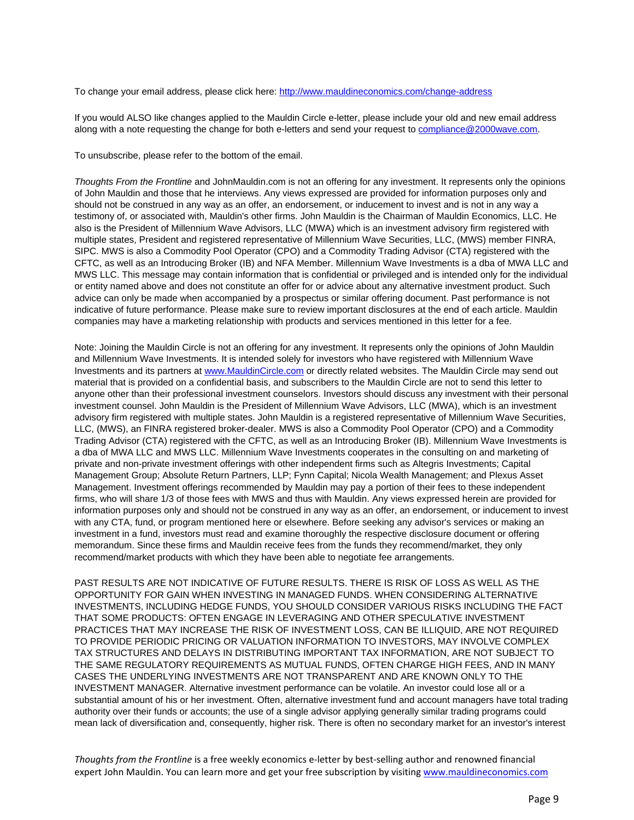To change your email address, please click here: <http://www.mauldineconomics.com/change-address>

If you would ALSO like changes applied to the Mauldin Circle e-letter, please include your old and new email address along with a note requesting the change for both e-letters and send your request to [compliance@2000wave.com.](mailto:compliance@2000wave.com)

To unsubscribe, please refer to the bottom of the email.

*Thoughts From the Frontline* and JohnMauldin.com is not an offering for any investment. It represents only the opinions of John Mauldin and those that he interviews. Any views expressed are provided for information purposes only and should not be construed in any way as an offer, an endorsement, or inducement to invest and is not in any way a testimony of, or associated with, Mauldin's other firms. John Mauldin is the Chairman of Mauldin Economics, LLC. He also is the President of Millennium Wave Advisors, LLC (MWA) which is an investment advisory firm registered with multiple states, President and registered representative of Millennium Wave Securities, LLC, (MWS) member FINRA, SIPC. MWS is also a Commodity Pool Operator (CPO) and a Commodity Trading Advisor (CTA) registered with the CFTC, as well as an Introducing Broker (IB) and NFA Member. Millennium Wave Investments is a dba of MWA LLC and MWS LLC. This message may contain information that is confidential or privileged and is intended only for the individual or entity named above and does not constitute an offer for or advice about any alternative investment product. Such advice can only be made when accompanied by a prospectus or similar offering document. Past performance is not indicative of future performance. Please make sure to review important disclosures at the end of each article. Mauldin companies may have a marketing relationship with products and services mentioned in this letter for a fee.

Note: Joining the Mauldin Circle is not an offering for any investment. It represents only the opinions of John Mauldin and Millennium Wave Investments. It is intended solely for investors who have registered with Millennium Wave Investments and its partners a[t www.MauldinCircle.com](http://www.mauldincircle.com/) or directly related websites. The Mauldin Circle may send out material that is provided on a confidential basis, and subscribers to the Mauldin Circle are not to send this letter to anyone other than their professional investment counselors. Investors should discuss any investment with their personal investment counsel. John Mauldin is the President of Millennium Wave Advisors, LLC (MWA), which is an investment advisory firm registered with multiple states. John Mauldin is a registered representative of Millennium Wave Securities, LLC, (MWS), an FINRA registered broker-dealer. MWS is also a Commodity Pool Operator (CPO) and a Commodity Trading Advisor (CTA) registered with the CFTC, as well as an Introducing Broker (IB). Millennium Wave Investments is a dba of MWA LLC and MWS LLC. Millennium Wave Investments cooperates in the consulting on and marketing of private and non-private investment offerings with other independent firms such as Altegris Investments; Capital Management Group; Absolute Return Partners, LLP; Fynn Capital; Nicola Wealth Management; and Plexus Asset Management. Investment offerings recommended by Mauldin may pay a portion of their fees to these independent firms, who will share 1/3 of those fees with MWS and thus with Mauldin. Any views expressed herein are provided for information purposes only and should not be construed in any way as an offer, an endorsement, or inducement to invest with any CTA, fund, or program mentioned here or elsewhere. Before seeking any advisor's services or making an investment in a fund, investors must read and examine thoroughly the respective disclosure document or offering memorandum. Since these firms and Mauldin receive fees from the funds they recommend/market, they only recommend/market products with which they have been able to negotiate fee arrangements.

PAST RESULTS ARE NOT INDICATIVE OF FUTURE RESULTS. THERE IS RISK OF LOSS AS WELL AS THE OPPORTUNITY FOR GAIN WHEN INVESTING IN MANAGED FUNDS. WHEN CONSIDERING ALTERNATIVE INVESTMENTS, INCLUDING HEDGE FUNDS, YOU SHOULD CONSIDER VARIOUS RISKS INCLUDING THE FACT THAT SOME PRODUCTS: OFTEN ENGAGE IN LEVERAGING AND OTHER SPECULATIVE INVESTMENT PRACTICES THAT MAY INCREASE THE RISK OF INVESTMENT LOSS, CAN BE ILLIQUID, ARE NOT REQUIRED TO PROVIDE PERIODIC PRICING OR VALUATION INFORMATION TO INVESTORS, MAY INVOLVE COMPLEX TAX STRUCTURES AND DELAYS IN DISTRIBUTING IMPORTANT TAX INFORMATION, ARE NOT SUBJECT TO THE SAME REGULATORY REQUIREMENTS AS MUTUAL FUNDS, OFTEN CHARGE HIGH FEES, AND IN MANY CASES THE UNDERLYING INVESTMENTS ARE NOT TRANSPARENT AND ARE KNOWN ONLY TO THE INVESTMENT MANAGER. Alternative investment performance can be volatile. An investor could lose all or a substantial amount of his or her investment. Often, alternative investment fund and account managers have total trading authority over their funds or accounts; the use of a single advisor applying generally similar trading programs could mean lack of diversification and, consequently, higher risk. There is often no secondary market for an investor's interest

*Thoughts from the Frontline* is a free weekly economics e-letter by best-selling author and renowned financial expert John Mauldin. You can learn more and get your free subscription by visiting [www.mauldineconomics.com](http://www.mauldineconomics.com/subscribe/)